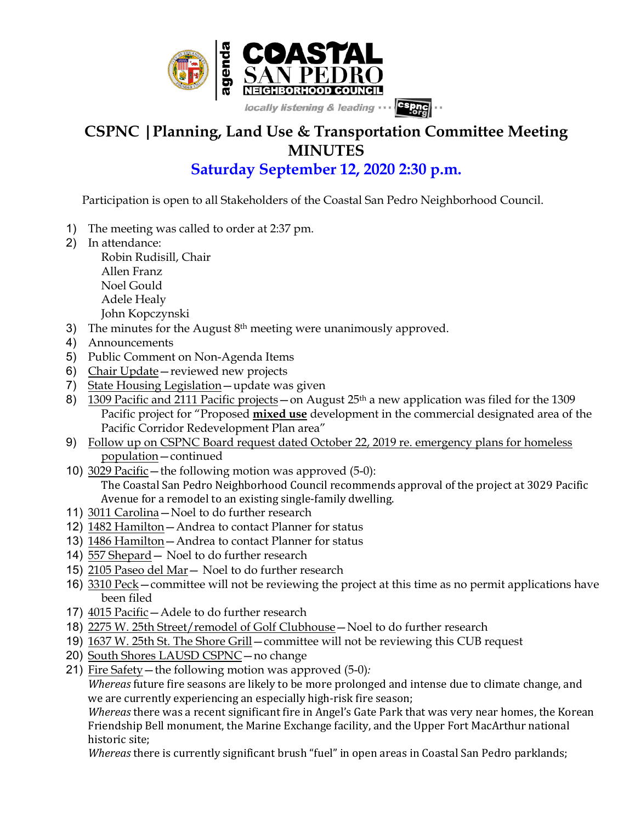

## **CSPNC |Planning, Land Use & Transportation Committee Meeting MINUTES**

## **Saturday September 12, 2020 2:30 p.m.**

Participation is open to all Stakeholders of the Coastal San Pedro Neighborhood Council.

- 1) The meeting was called to order at 2:37 pm.
- 2) In attendance:

Robin Rudisill, Chair Allen Franz Noel Gould Adele Healy

John Kopczynski

- 3) The minutes for the August  $8<sup>th</sup>$  meeting were unanimously approved.
- 4) Announcements
- 5) Public Comment on Non-Agenda Items
- 6) Chair Update—reviewed new projects
- 7) State Housing Legislation—update was given
- 8) 1309 Pacific and 2111 Pacific projects on August  $25<sup>th</sup>$  a new application was filed for the 1309 Pacific project for "Proposed **mixed use** development in the commercial designated area of the Pacific Corridor Redevelopment Plan area"
- 9) Follow up on CSPNC Board request dated October 22, 2019 re. emergency plans for homeless population—continued
- 10) 3029 Pacific—the following motion was approved (5-0): The Coastal San Pedro Neighborhood Council recommends approval of the project at 3029 Pacific Avenue for a remodel to an existing single-family dwelling.
- 11) 3011 Carolina—Noel to do further research
- 12) 1482 Hamilton—Andrea to contact Planner for status
- 13) 1486 Hamilton—Andrea to contact Planner for status
- 14) 557 Shepard— Noel to do further research
- 15) 2105 Paseo del Mar— Noel to do further research
- 16) 3310 Peck—committee will not be reviewing the project at this time as no permit applications have been filed
- 17) 4015 Pacific—Adele to do further research
- 18) 2275 W. 25th Street/remodel of Golf Clubhouse—Noel to do further research
- 19) 1637 W. 25th St. The Shore Grill—committee will not be reviewing this CUB request
- 20) South Shores LAUSD CSPNC—no change
- 21) Fire Safety—the following motion was approved (5-0)*:*

*Whereas* future fire seasons are likely to be more prolonged and intense due to climate change, and we are currently experiencing an especially high-risk fire season;

*Whereas* there was a recent significant fire in Angel's Gate Park that was very near homes, the Korean Friendship Bell monument, the Marine Exchange facility, and the Upper Fort MacArthur national historic site;

*Whereas* there is currently significant brush "fuel" in open areas in Coastal San Pedro parklands;